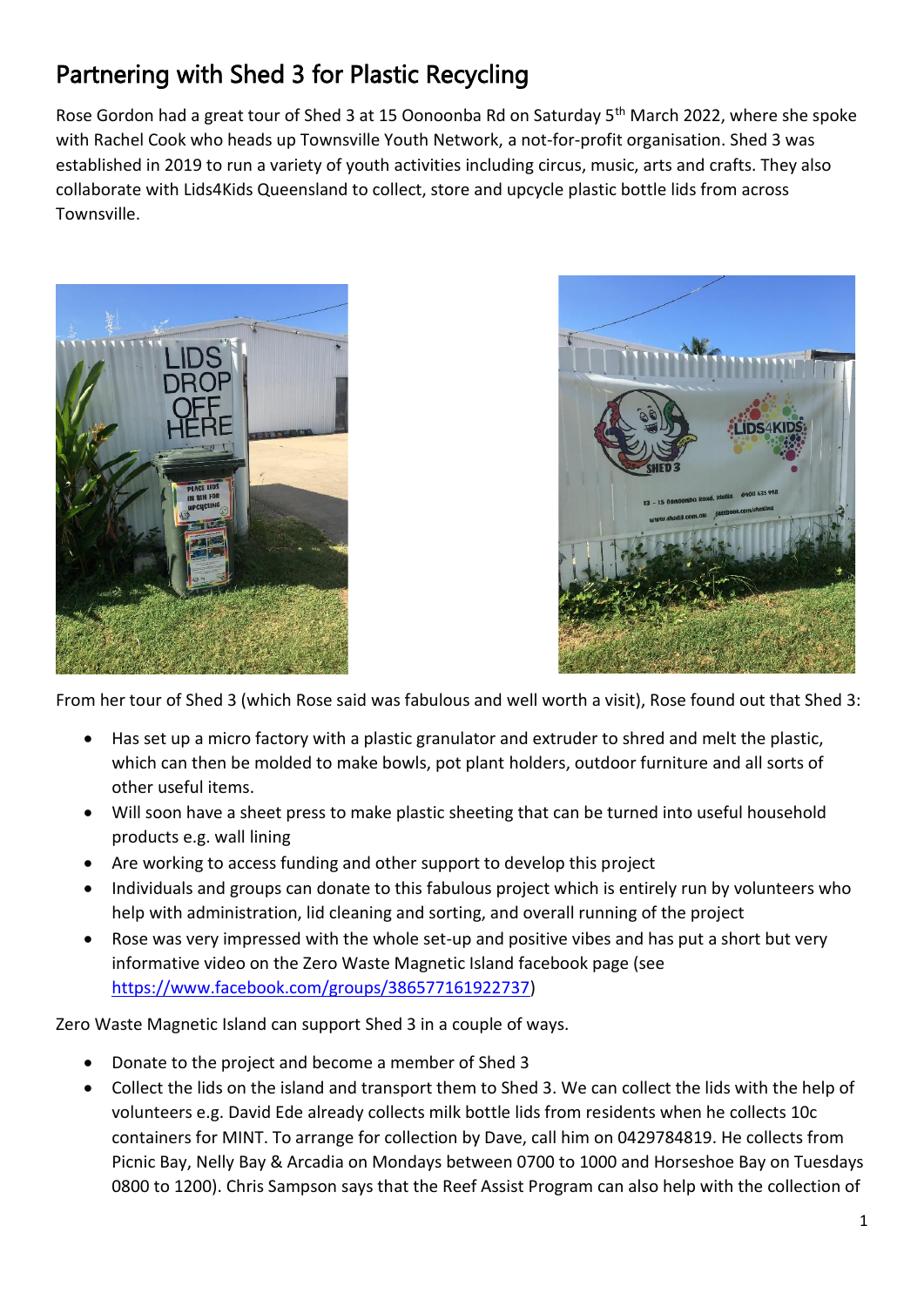## Partnering with Shed 3 for Plastic Recycling

Rose Gordon had a great tour of Shed 3 at 15 Oonoonba Rd on Saturday 5<sup>th</sup> March 2022, where she spoke with Rachel Cook who heads up Townsville Youth Network, a not-for-profit organisation. Shed 3 was established in 2019 to run a variety of youth activities including circus, music, arts and crafts. They also collaborate with Lids4Kids Queensland to collect, store and upcycle plastic bottle lids from across Townsville.





From her tour of Shed 3 (which Rose said was fabulous and well worth a visit), Rose found out that Shed 3:

- Has set up a micro factory with a plastic granulator and extruder to shred and melt the plastic, which can then be molded to make bowls, pot plant holders, outdoor furniture and all sorts of other useful items.
- Will soon have a sheet press to make plastic sheeting that can be turned into useful household products e.g. wall lining
- Are working to access funding and other support to develop this project
- Individuals and groups can donate to this fabulous project which is entirely run by volunteers who help with administration, lid cleaning and sorting, and overall running of the project
- Rose was very impressed with the whole set-up and positive vibes and has put a short but very informative video on the Zero Waste Magnetic Island facebook page (see [https://www.facebook.com/groups/386577161922737\)](https://www.facebook.com/groups/386577161922737)

Zero Waste Magnetic Island can support Shed 3 in a couple of ways.

- Donate to the project and become a member of Shed 3
- Collect the lids on the island and transport them to Shed 3. We can collect the lids with the help of volunteers e.g. David Ede already collects milk bottle lids from residents when he collects 10c containers for MINT. To arrange for collection by Dave, call him on 0429784819. He collects from Picnic Bay, Nelly Bay & Arcadia on Mondays between 0700 to 1000 and Horseshoe Bay on Tuesdays 0800 to 1200). Chris Sampson says that the Reef Assist Program can also help with the collection of